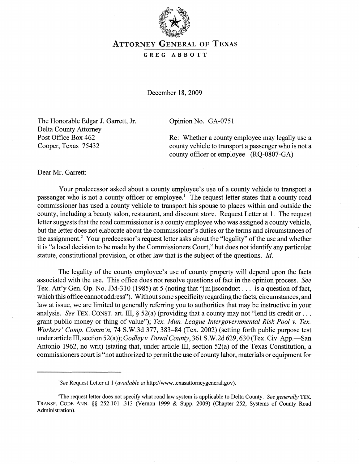

## ATTORNEY GENERAL OF TEXAS

## GREG ABBOTT

December 18, 2009

The Honorable Edgar J. Garrett, Jr. Delta County Attorney Post Office Box 462 Cooper, Texas 75432

Opinion No. GA-0751

Re: Whether a county employee may legally use a county vehicle to transport a passenger who is not a county officer or employee (RQ-0807-GA)

Dear Mr. Garrett:

Your predecessor asked about a county employee's use of a county vehicle to transport a passenger who is not a county officer or employee.<sup>1</sup> The request letter states that a county road commissioner has used a county vehicle to transport his spouse to places within and outside the county, including a beauty salon, restaurant, and discount store. Request Letter at 1. The request letter suggests that the road commissioner is a county employee who was assigned a county vehicle, but the letter does not elaborate about the commissioner's duties or the terms and circumstances of the assignment.<sup>2</sup> Your predecessor's request letter asks about the "legality" of the use and whether it is "a local decision to be made by the Commissioners Court," but does not identify any particular statute, constitutional provision, or other law that is the subject of the questions. *Id.* 

The legality of the county employee's use of county property will depend upon the facts associated with the use. This office does not resolve questions of fact in the opinion process. *See*  Tex. Att'y Gen. Op. No. JM-310 (1985) at 5 (noting that "[m]isconduct ... is a question of fact, which this office cannot address"). Without some specificity regarding the facts, circumstances, and law at issue, we are limited to generally referring you to authorities that may be instructive in your analysis. *See* TEX. CONST. art. III,  $\S$  52(a) (providing that a county may not "lend its credit or ... grant public money or thing of value"); *Tex. Mun. League Intergovernmental Risk Pool* v. *Tex. Workers' Comp. Comm'n, 74 S.W.3d 377, 383-84 (Tex. 2002) (setting forth public purpose test* under article III, section 52(a)); *Godley v. Duval County*, 361 S.W.2d 629, 630 (Tex. Civ. App.—San Antonio 1962, no writ) (stating that, under article III, section 52(a) of the Texas Constitution, a commissioners court is "not authorized to permit the use of county labor, materials or equipment for

*lSee* Request Letter at 1 *(available at* http://www.texasattorneygeneral.gov).

<sup>&</sup>lt;sup>2</sup>The request letter does not specify what road law system is applicable to Delta County. *See generally* TEX. TRANSP. CODE ANN. §§ 252.101-.313 (Vernon 1999 & Supp. 2009) (Chapter 252, Systems of County Road Administration).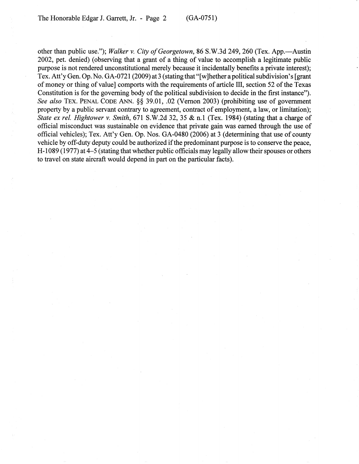other than public use."); *Walker v. City of Georgetown*, 86 S.W.3d 249, 260 (Tex. App.—Austin 2002, pet. denied) (observing that a grant of a thing of value to accomplish a legitimate public purpose is not rendered unconstitutional merely because it incidentally benefits a private interest); Tex. Att'y Gen. Op. No. GA-0721 (2009) at 3 (stating that "[w] hether a political subdivision's [grant] of money or thing of value] comports with the requirements of article III, section 52 of the Texas Constitution is for the governing body of the political subdivision to decide in the first instance"). *See also* TEx. PENAL CODE ANN. §§ 39.01, .02 (Vernon 2003) (prohibiting use of government property by a public servant contrary to agreement, contract of employment, a law, or limitation); *State ex reI. Hightower* v. *Smith,* 671 S.W.2d 32, 35 & n.1 (Tex. 1984) (stating that a charge of official misconduct was sustainable on evidence that private gain was earned through the use of official vehicles); Tex. Att'y Gen. Op. Nos. GA-0480 (2006) at 3 (determining that use of county vehicle by off-duty deputy could be authorized if the predominant purpose is to conserve the peace, H -1089 (1977) at 4-5 (stating that whether public officials may legally allow their spouses or others to travel on state aircraft would depend in part on the particular facts).